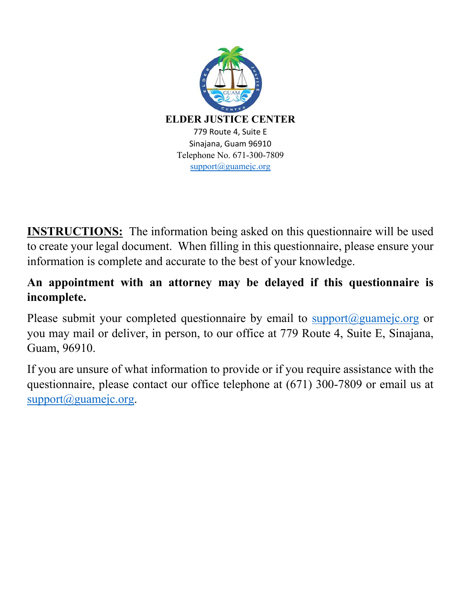

**INSTRUCTIONS:** The information being asked on this questionnaire will be used to create your legal document. When filling in this questionnaire, please ensure your information is complete and accurate to the best of your knowledge.

## **An appointment with an attorney may be delayed if this questionnaire is incomplete.**

Please submit your completed questionnaire by email to support@guamejc.org or you may mail or deliver, in person, to our office at 779 Route 4, Suite E, Sinajana, Guam, 96910.

If you are unsure of what information to provide or if you require assistance with the questionnaire, please contact our office telephone at (671) 300-7809 or email us at support@guamejc.org.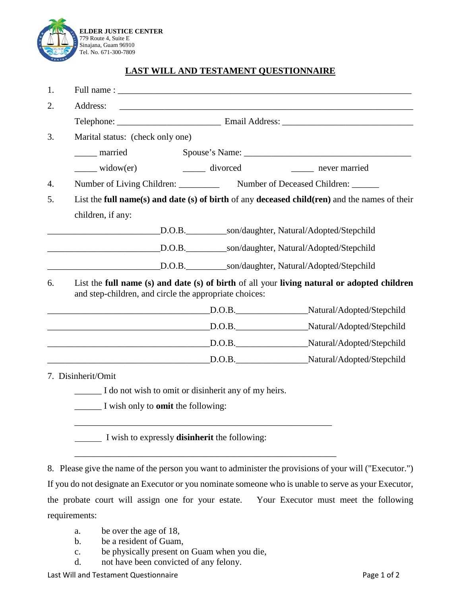

## **LAST WILL AND TESTAMENT QUESTIONNAIRE**

| 1. |                                                                                                                                                       |  |                                                                                               |  |
|----|-------------------------------------------------------------------------------------------------------------------------------------------------------|--|-----------------------------------------------------------------------------------------------|--|
| 2. | Address:                                                                                                                                              |  |                                                                                               |  |
|    |                                                                                                                                                       |  |                                                                                               |  |
| 3. | Marital status: (check only one)                                                                                                                      |  |                                                                                               |  |
|    | ______ married                                                                                                                                        |  | Spouse's Name:                                                                                |  |
|    |                                                                                                                                                       |  |                                                                                               |  |
| 4. | Number of Living Children: ____________ Number of Deceased Children: ______                                                                           |  |                                                                                               |  |
| 5. |                                                                                                                                                       |  | List the full name(s) and date (s) of birth of any deceased child(ren) and the names of their |  |
|    | children, if any:                                                                                                                                     |  |                                                                                               |  |
|    |                                                                                                                                                       |  | D.O.B. _____________son/daughter, Natural/Adopted/Stepchild                                   |  |
|    |                                                                                                                                                       |  | D.O.B. ____________son/daughter, Natural/Adopted/Stepchild                                    |  |
|    | <u> 1989 - Johann Barn, fransk politik (</u>                                                                                                          |  | D.O.B. son/daughter, Natural/Adopted/Stepchild                                                |  |
| 6. | List the full name (s) and date (s) of birth of all your living natural or adopted children<br>and step-children, and circle the appropriate choices: |  |                                                                                               |  |
|    |                                                                                                                                                       |  |                                                                                               |  |
|    | D.O.B.                                                                                                                                                |  | Natural/Adopted/Stepchild                                                                     |  |
|    |                                                                                                                                                       |  |                                                                                               |  |
|    |                                                                                                                                                       |  | D.O.B. Natural/Adopted/Stepchild                                                              |  |
|    | 7. Disinherit/Omit                                                                                                                                    |  |                                                                                               |  |
|    | I do not wish to omit or disinherit any of my heirs.                                                                                                  |  |                                                                                               |  |
|    | I wish only to <b>omit</b> the following:                                                                                                             |  |                                                                                               |  |
|    |                                                                                                                                                       |  |                                                                                               |  |

I wish to expressly **disinherit** the following:

8. Please give the name of the person you want to administer the provisions of your will ("Executor.")

\_\_\_\_\_\_\_\_\_\_\_\_\_\_\_\_\_\_\_\_\_\_\_\_\_\_\_\_\_\_\_\_\_\_\_\_\_\_\_\_\_\_\_\_\_\_\_\_\_\_\_\_\_\_\_\_\_\_

If you do not designate an Executor or you nominate someone who is unable to serve as your Executor, the probate court will assign one for your estate. Your Executor must meet the following requirements:

- a. be over the age of 18,
- b. be a resident of Guam,
- c. be physically present on Guam when you die,
- d. not have been convicted of any felony.